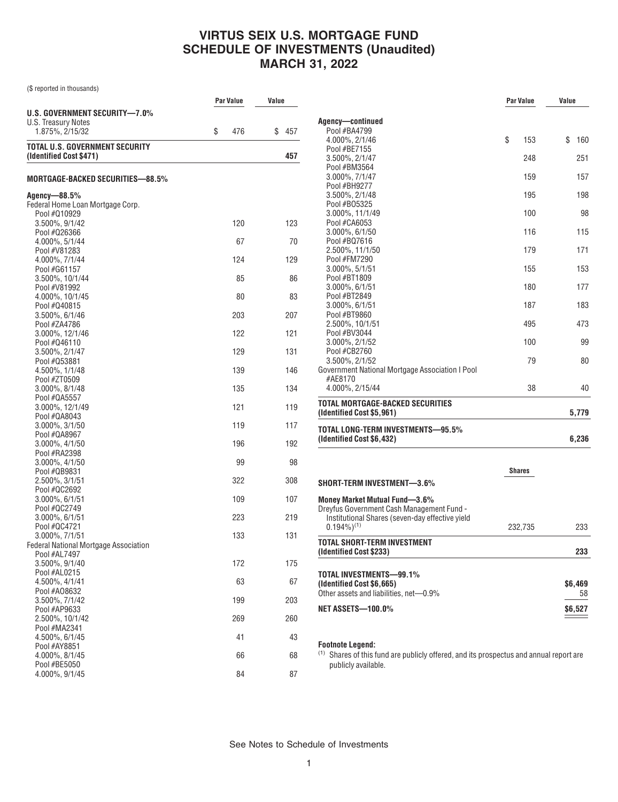## **VIRTUS SEIX U.S. MORTGAGE FUND SCHEDULE OF INVESTMENTS (Unaudited) MARCH 31, 2022**

(\$ reported in thousands)

|                                                                  | <b>Par Value</b> |     | Value |     |
|------------------------------------------------------------------|------------------|-----|-------|-----|
| U.S. GOVERNMENT SECURITY-7.0%                                    |                  |     |       |     |
| U.S. Treasury Notes                                              |                  |     |       |     |
| 1.875%, 2/15/32                                                  | \$               | 476 | \$    | 457 |
| TOTAL U.S. GOVERNMENT SECURITY<br>(Identified Cost \$471)        |                  |     |       | 457 |
| MORTGAGE-BACKED SECURITIES—88.5%                                 |                  |     |       |     |
| Agency-88.5%<br>Federal Home Loan Mortgage Corp.<br>Pool #Q10929 |                  |     |       |     |
| 3.500%, 9/1/42                                                   |                  | 120 |       | 123 |
| Pool #026366                                                     |                  |     |       |     |
| 4.000%, 5/1/44                                                   |                  | 67  |       | 70  |
| Pool #V81283<br>4.000%, 7/1/44                                   |                  | 124 |       | 129 |
| Pool #G61157                                                     |                  |     |       |     |
| 3.500%, 10/1/44                                                  |                  | 85  |       | 86  |
| Pool #V81992                                                     |                  |     |       |     |
| 4.000%, 10/1/45<br>Pool #Q40815                                  |                  | 80  |       | 83  |
| 3.500%, 6/1/46                                                   |                  | 203 |       | 207 |
| Pool #ZA4786                                                     |                  |     |       |     |
| 3.000%, 12/1/46                                                  |                  | 122 |       | 121 |
| Pool #Q46110                                                     |                  |     |       |     |
| 3.500%, 2/1/47<br>Pool #053881                                   |                  | 129 |       | 131 |
| 4.500%, 1/1/48                                                   |                  | 139 |       | 146 |
| Pool #ZT0509                                                     |                  |     |       |     |
| 3.000%, 8/1/48                                                   |                  | 135 |       | 134 |
| Pool #QA5557                                                     |                  |     |       |     |
| 3.000%, 12/1/49<br>Pool #QA8043                                  |                  | 121 |       | 119 |
| 3.000%, 3/1/50                                                   |                  | 119 |       | 117 |
| Pool #QA8967                                                     |                  |     |       |     |
| 3.000%, 4/1/50                                                   |                  | 196 |       | 192 |
| Pool #RA2398                                                     |                  |     |       |     |
| 3.000%, 4/1/50<br>Pool #QB9831                                   |                  | 99  |       | 98  |
| 2.500%, 3/1/51                                                   |                  | 322 |       | 308 |
| Pool #QC2692                                                     |                  |     |       |     |
| 3.000%, 6/1/51                                                   |                  | 109 |       | 107 |
| Pool #QC2749<br>3.000%, 6/1/51                                   |                  | 223 |       | 219 |
| Pool #QC4721                                                     |                  |     |       |     |
| 3.000%, 7/1/51                                                   |                  | 133 |       | 131 |
| <b>Federal National Mortgage Association</b>                     |                  |     |       |     |
| Pool #AL7497                                                     |                  |     |       |     |
| 3.500%, 9/1/40<br>Pool #AL0215                                   |                  | 172 |       | 175 |
| 4.500%, 4/1/41                                                   |                  | 63  |       | 67  |
| Pool #A08632                                                     |                  |     |       |     |
| 3.500%, 7/1/42                                                   |                  | 199 |       | 203 |
| Pool #AP9633<br>2.500%, 10/1/42                                  |                  | 269 |       | 260 |
| Pool #MA2341                                                     |                  |     |       |     |
| 4.500%, 6/1/45                                                   |                  | 41  |       | 43  |
| Pool #AY8851                                                     |                  |     |       |     |
| 4.000%, 8/1/45                                                   |                  | 66  |       | 68  |
| Pool #BE5050<br>4.000%, 9/1/45                                   |                  | 84  |       | 87  |
|                                                                  |                  |     |       |     |

|                                                            | <b>Par Value</b> |               | Value |         |
|------------------------------------------------------------|------------------|---------------|-------|---------|
| Agency—continued                                           |                  |               |       |         |
| Pool #BA4799                                               |                  |               |       |         |
| 4.000%, 2/1/46                                             | \$               | 153           | \$    | 160     |
| Pool #BE7155                                               |                  |               |       |         |
| 3.500%, 2/1/47<br>Pool #BM3564                             |                  | 248           |       | 251     |
| 3.000%, 7/1/47                                             |                  | 159           |       | 157     |
| Pool #BH9277                                               |                  |               |       |         |
| 3.500%, 2/1/48                                             |                  | 195           |       | 198     |
| Pool #B05325                                               |                  |               |       |         |
| 3.000%, 11/1/49                                            |                  | 100           |       | 98      |
| Pool #CA6053                                               |                  |               |       |         |
| $3.000\%$ , $6/1/50$                                       |                  | 116           |       | 115     |
| Pool #BQ7616                                               |                  |               |       |         |
| 2.500%, 11/1/50                                            |                  | 179           |       | 171     |
| Pool #FM7290<br>3.000%, 5/1/51                             |                  | 155           |       | 153     |
| Pool #BT1809                                               |                  |               |       |         |
| $3.000\%$ , $6/1/51$                                       |                  | 180           |       | 177     |
| Pool #BT2849                                               |                  |               |       |         |
| $3.000\%$ , $6/1/51$                                       |                  | 187           |       | 183     |
| Pool #BT9860                                               |                  |               |       |         |
| 2.500%, 10/1/51                                            |                  | 495           |       | 473     |
| Pool #BV3044                                               |                  |               |       |         |
| 3.000%, 2/1/52                                             |                  | 100           |       | 99      |
| Pool #CB2760                                               |                  |               |       |         |
| 3.500%, 2/1/52                                             |                  | 79            |       | 80      |
| Government National Mortgage Association I Pool<br>#AE8170 |                  |               |       |         |
| 4.000%, 2/15/44                                            |                  | 38            |       | 40      |
| TOTAL MORTGAGE-BACKED SECURITIES                           |                  |               |       |         |
| (Identified Cost \$5,961)                                  |                  |               |       | 5,779   |
| TOTAL LONG-TERM INVESTMENTS—95.5%                          |                  |               |       |         |
| (Identified Cost \$6,432)                                  |                  |               |       | 6,236   |
|                                                            |                  |               |       |         |
|                                                            |                  | <b>Shares</b> |       |         |
| SHORT-TERM INVESTMENT—3.6%                                 |                  |               |       |         |
| Money Market Mutual Fund-3.6%                              |                  |               |       |         |
| Dreyfus Government Cash Management Fund -                  |                  |               |       |         |
| Institutional Shares (seven-day effective yield            |                  |               |       |         |
| $0.194\%)^{(1)}$                                           |                  | 232,735       |       | 233     |
| TOTAL SHORT-TERM INVESTMENT<br>(Identified Cost \$233)     |                  |               |       | 233     |
|                                                            |                  |               |       |         |
| TOTAL INVESTMENTS—99.1%                                    |                  |               |       |         |
| (Identified Cost \$6,665)                                  |                  |               |       | \$6,469 |
| Other assets and liabilities, net-0.9%                     |                  |               |       | 58      |
| Net assets—100.0%                                          |                  |               |       | \$6,527 |
|                                                            |                  |               |       |         |

#### **Footnote Legend:**

 $<sup>(1)</sup>$  Shares of this fund are publicly offered, and its prospectus and annual report are</sup> publicly available.

See Notes to Schedule of Investments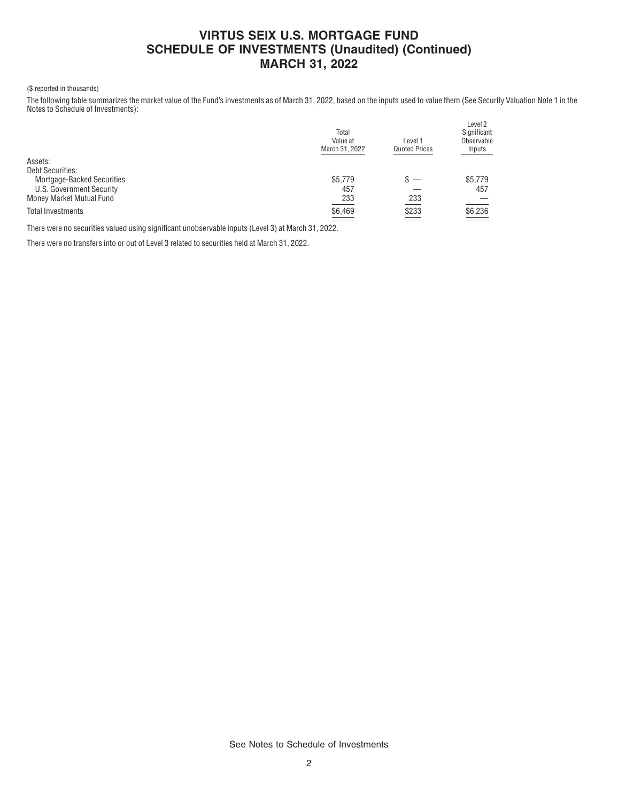## **VIRTUS SEIX U.S. MORTGAGE FUND SCHEDULE OF INVESTMENTS (Unaudited) (Continued) MARCH 31, 2022**

### (\$ reported in thousands)

The following table summarizes the market value of the Fund's investments as of March 31, 2022, based on the inputs used to value them (See Security Valuation Note 1 in the Notes to Schedule of Investments):

|                                   | Total<br>Value at<br>March 31, 2022 | Level 1<br><b>Quoted Prices</b> | Level 2<br>Significant<br>Observable<br>Inputs |
|-----------------------------------|-------------------------------------|---------------------------------|------------------------------------------------|
| Assets:                           |                                     |                                 |                                                |
| <b>Debt Securities:</b>           |                                     |                                 |                                                |
| <b>Mortgage-Backed Securities</b> | \$5,779                             | $s -$                           | \$5.779                                        |
| U.S. Government Security          | 457                                 |                                 | 457                                            |
| Money Market Mutual Fund          | 233                                 | 233                             |                                                |
| <b>Total Investments</b>          | \$6,469<br>$\overline{\phantom{a}}$ | $\frac{$233}{2}$                | $\underbrace{$6,236}$                          |

There were no securities valued using significant unobservable inputs (Level 3) at March 31, 2022.

There were no transfers into or out of Level 3 related to securities held at March 31, 2022.

See Notes to Schedule of Investments